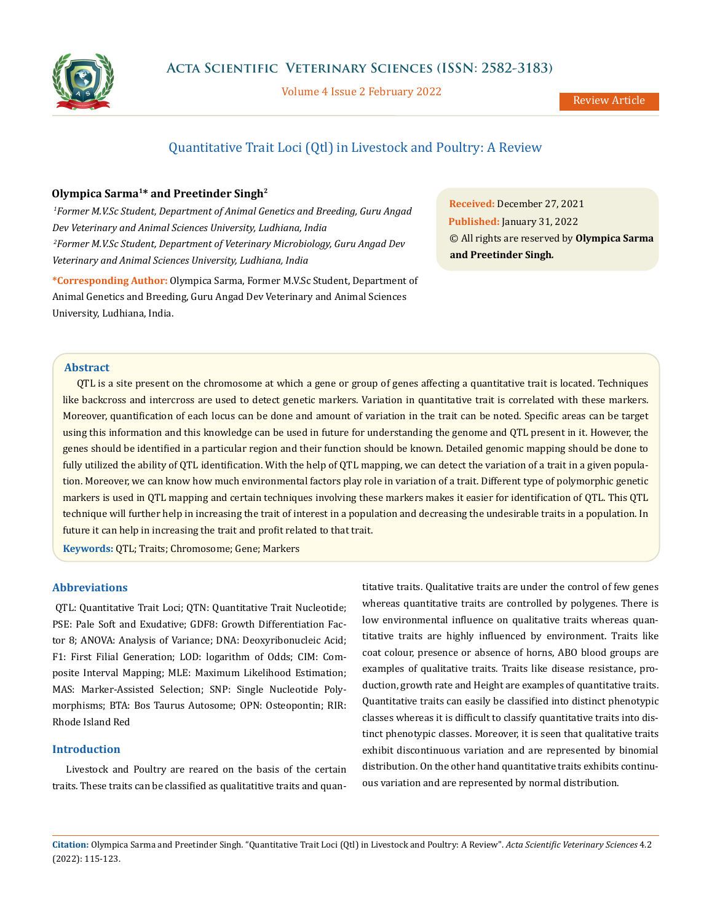

Volume 4 Issue 2 February 2022

# Quantitative Trait Loci (Qtl) in Livestock and Poultry: A Review

# **Olympica Sarma1\* and Preetinder Singh2**

 *1Former M.V.Sc Student, Department of Animal Genetics and Breeding, Guru Angad Dev Veterinary and Animal Sciences University, Ludhiana, India 2Former M.V.Sc Student, Department of Veterinary Microbiology, Guru Angad Dev Veterinary and Animal Sciences University, Ludhiana, India*

**\*Corresponding Author:** Olympica Sarma, Former M.V.Sc Student, Department of Animal Genetics and Breeding, Guru Angad Dev Veterinary and Animal Sciences University, Ludhiana, India.

**Received:** December 27, 2021 **Published:** January 31, 2022 © All rights are reserved by **Olympica Sarma and Preetinder Singh***.*

# **Abstract**

QTL is a site present on the chromosome at which a gene or group of genes affecting a quantitative trait is located. Techniques like backcross and intercross are used to detect genetic markers. Variation in quantitative trait is correlated with these markers. Moreover, quantification of each locus can be done and amount of variation in the trait can be noted. Specific areas can be target using this information and this knowledge can be used in future for understanding the genome and QTL present in it. However, the genes should be identified in a particular region and their function should be known. Detailed genomic mapping should be done to fully utilized the ability of QTL identification. With the help of QTL mapping, we can detect the variation of a trait in a given population. Moreover, we can know how much environmental factors play role in variation of a trait. Different type of polymorphic genetic markers is used in QTL mapping and certain techniques involving these markers makes it easier for identification of QTL. This QTL technique will further help in increasing the trait of interest in a population and decreasing the undesirable traits in a population. In future it can help in increasing the trait and profit related to that trait.

**Keywords:** QTL; Traits; Chromosome; Gene; Markers

# **Abbreviations**

QTL: Quantitative Trait Loci; QTN: Quantitative Trait Nucleotide; PSE: Pale Soft and Exudative; GDF8: Growth Differentiation Factor 8; ANOVA: Analysis of Variance; DNA: Deoxyribonucleic Acid; F1: First Filial Generation; LOD: logarithm of Odds; CIM: Composite Interval Mapping; MLE: Maximum Likelihood Estimation; MAS: Marker-Assisted Selection; SNP: Single Nucleotide Polymorphisms; BTA: Bos Taurus Autosome; OPN: Osteopontin; RIR: Rhode Island Red

# **Introduction**

Livestock and Poultry are reared on the basis of the certain traits. These traits can be classified as qualitatitive traits and quantitative traits. Qualitative traits are under the control of few genes whereas quantitative traits are controlled by polygenes. There is low environmental influence on qualitative traits whereas quantitative traits are highly influenced by environment. Traits like coat colour, presence or absence of horns, ABO blood groups are examples of qualitative traits. Traits like disease resistance, production, growth rate and Height are examples of quantitative traits. Quantitative traits can easily be classified into distinct phenotypic classes whereas it is difficult to classify quantitative traits into distinct phenotypic classes. Moreover, it is seen that qualitative traits exhibit discontinuous variation and are represented by binomial distribution. On the other hand quantitative traits exhibits continuous variation and are represented by normal distribution.

**Citation:** Olympica Sarma and Preetinder Singh*.* "Quantitative Trait Loci (Qtl) in Livestock and Poultry: A Review". *Acta Scientific Veterinary Sciences* 4.2 (2022): 115-123.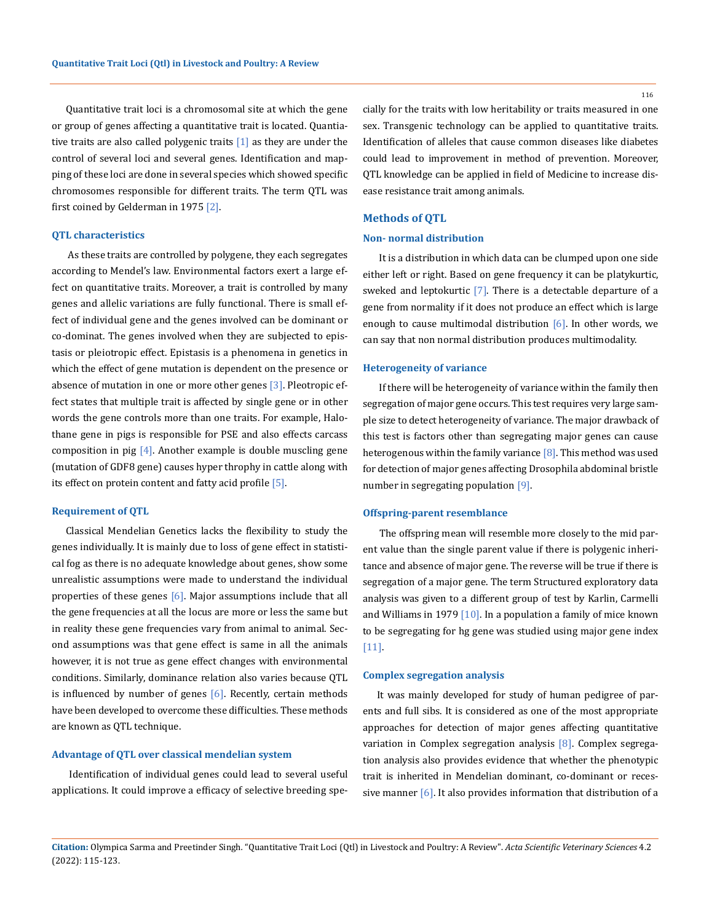Quantitative trait loci is a chromosomal site at which the gene or group of genes affecting a quantitative trait is located. Quantiative traits are also called polygenic traits  $[1]$  as they are under the control of several loci and several genes. Identification and mapping of these loci are done in several species which showed specific chromosomes responsible for different traits. The term QTL was first coined by Gelderman in 1975 [2].

# **QTL characteristics**

 As these traits are controlled by polygene, they each segregates according to Mendel's law. Environmental factors exert a large effect on quantitative traits. Moreover, a trait is controlled by many genes and allelic variations are fully functional. There is small effect of individual gene and the genes involved can be dominant or co-dominat. The genes involved when they are subjected to epistasis or pleiotropic effect. Epistasis is a phenomena in genetics in which the effect of gene mutation is dependent on the presence or absence of mutation in one or more other genes  $[3]$ . Pleotropic effect states that multiple trait is affected by single gene or in other words the gene controls more than one traits. For example, Halothane gene in pigs is responsible for PSE and also effects carcass composition in pig  $[4]$ . Another example is double muscling gene (mutation of GDF8 gene) causes hyper throphy in cattle along with its effect on protein content and fatty acid profile [5].

# **Requirement of QTL**

Classical Mendelian Genetics lacks the flexibility to study the genes individually. It is mainly due to loss of gene effect in statistical fog as there is no adequate knowledge about genes, show some unrealistic assumptions were made to understand the individual properties of these genes [6]. Major assumptions include that all the gene frequencies at all the locus are more or less the same but in reality these gene frequencies vary from animal to animal. Second assumptions was that gene effect is same in all the animals however, it is not true as gene effect changes with environmental conditions. Similarly, dominance relation also varies because QTL is influenced by number of genes  $[6]$ . Recently, certain methods have been developed to overcome these difficulties. These methods are known as QTL technique.

# **Advantage of QTL over classical mendelian system**

 Identification of individual genes could lead to several useful applications. It could improve a efficacy of selective breeding spe116

cially for the traits with low heritability or traits measured in one sex. Transgenic technology can be applied to quantitative traits. Identification of alleles that cause common diseases like diabetes could lead to improvement in method of prevention. Moreover, QTL knowledge can be applied in field of Medicine to increase disease resistance trait among animals.

# **Methods of QTL**

#### **Non- normal distribution**

 It is a distribution in which data can be clumped upon one side either left or right. Based on gene frequency it can be platykurtic, sweked and leptokurtic [7]. There is a detectable departure of a gene from normality if it does not produce an effect which is large enough to cause multimodal distribution  $[6]$ . In other words, we can say that non normal distribution produces multimodality.

#### **Heterogeneity of variance**

 If there will be heterogeneity of variance within the family then segregation of major gene occurs. This test requires very large sample size to detect heterogeneity of variance. The major drawback of this test is factors other than segregating major genes can cause heterogenous within the family variance [8]. This method was used for detection of major genes affecting Drosophila abdominal bristle number in segregating population [9].

#### **Offspring-parent resemblance**

 The offspring mean will resemble more closely to the mid parent value than the single parent value if there is polygenic inheritance and absence of major gene. The reverse will be true if there is segregation of a major gene. The term Structured exploratory data analysis was given to a different group of test by Karlin, Carmelli and Williams in 1979  $[10]$ . In a population a family of mice known to be segregating for hg gene was studied using major gene index [11].

### **Complex segregation analysis**

It was mainly developed for study of human pedigree of parents and full sibs. It is considered as one of the most appropriate approaches for detection of major genes affecting quantitative variation in Complex segregation analysis [8]. Complex segregation analysis also provides evidence that whether the phenotypic trait is inherited in Mendelian dominant, co-dominant or recessive manner [6]. It also provides information that distribution of a

**Citation:** Olympica Sarma and Preetinder Singh*.* "Quantitative Trait Loci (Qtl) in Livestock and Poultry: A Review". *Acta Scientific Veterinary Sciences* 4.2 (2022): 115-123.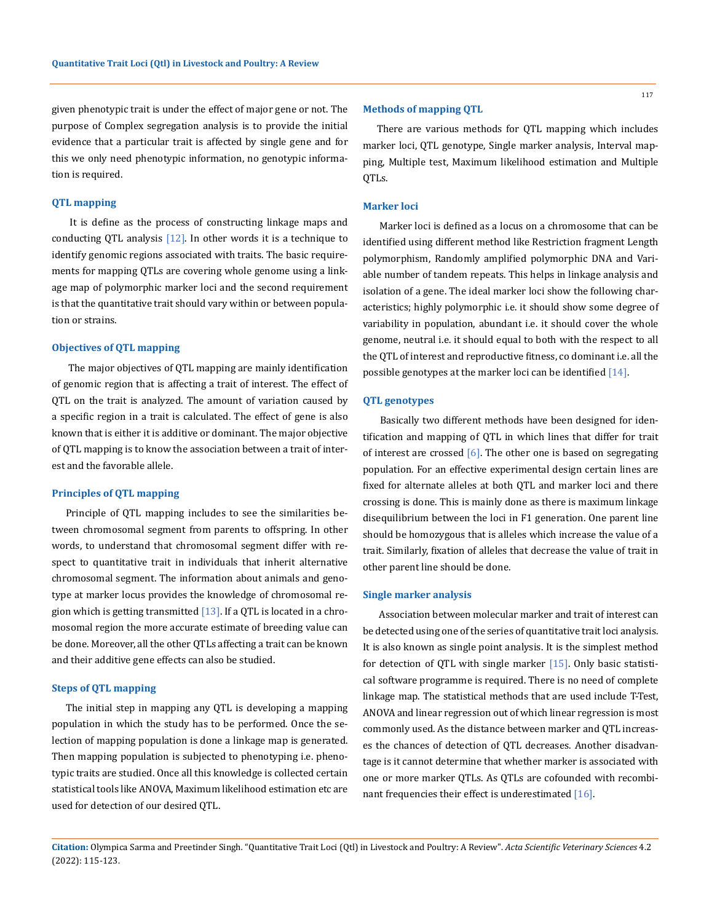given phenotypic trait is under the effect of major gene or not. The purpose of Complex segregation analysis is to provide the initial evidence that a particular trait is affected by single gene and for this we only need phenotypic information, no genotypic information is required.

## **QTL mapping**

 It is define as the process of constructing linkage maps and conducting QTL analysis  $[12]$ . In other words it is a technique to identify genomic regions associated with traits. The basic requirements for mapping QTLs are covering whole genome using a linkage map of polymorphic marker loci and the second requirement is that the quantitative trait should vary within or between population or strains.

# **Objectives of QTL mapping**

 The major objectives of QTL mapping are mainly identification of genomic region that is affecting a trait of interest. The effect of QTL on the trait is analyzed. The amount of variation caused by a specific region in a trait is calculated. The effect of gene is also known that is either it is additive or dominant. The major objective of QTL mapping is to know the association between a trait of interest and the favorable allele.

### **Principles of QTL mapping**

Principle of QTL mapping includes to see the similarities between chromosomal segment from parents to offspring. In other words, to understand that chromosomal segment differ with respect to quantitative trait in individuals that inherit alternative chromosomal segment. The information about animals and genotype at marker locus provides the knowledge of chromosomal region which is getting transmitted  $[13]$ . If a QTL is located in a chromosomal region the more accurate estimate of breeding value can be done. Moreover, all the other QTLs affecting a trait can be known and their additive gene effects can also be studied.

#### **Steps of QTL mapping**

The initial step in mapping any QTL is developing a mapping population in which the study has to be performed. Once the selection of mapping population is done a linkage map is generated. Then mapping population is subjected to phenotyping i.e. phenotypic traits are studied. Once all this knowledge is collected certain statistical tools like ANOVA, Maximum likelihood estimation etc are used for detection of our desired QTL.

#### **Methods of mapping QTL**

There are various methods for QTL mapping which includes marker loci, QTL genotype, Single marker analysis, Interval mapping, Multiple test, Maximum likelihood estimation and Multiple QTLs.

# **Marker loci**

 Marker loci is defined as a locus on a chromosome that can be identified using different method like Restriction fragment Length polymorphism, Randomly amplified polymorphic DNA and Variable number of tandem repeats. This helps in linkage analysis and isolation of a gene. The ideal marker loci show the following characteristics; highly polymorphic i.e. it should show some degree of variability in population, abundant i.e. it should cover the whole genome, neutral i.e. it should equal to both with the respect to all the QTL of interest and reproductive fitness, co dominant i.e. all the possible genotypes at the marker loci can be identified [14].

# **QTL genotypes**

 Basically two different methods have been designed for identification and mapping of QTL in which lines that differ for trait of interest are crossed  $[6]$ . The other one is based on segregating population. For an effective experimental design certain lines are fixed for alternate alleles at both QTL and marker loci and there crossing is done. This is mainly done as there is maximum linkage disequilibrium between the loci in F1 generation. One parent line should be homozygous that is alleles which increase the value of a trait. Similarly, fixation of alleles that decrease the value of trait in other parent line should be done.

#### **Single marker analysis**

 Association between molecular marker and trait of interest can be detected using one of the series of quantitative trait loci analysis. It is also known as single point analysis. It is the simplest method for detection of QTL with single marker [15]. Only basic statistical software programme is required. There is no need of complete linkage map. The statistical methods that are used include T-Test, ANOVA and linear regression out of which linear regression is most commonly used. As the distance between marker and QTL increases the chances of detection of QTL decreases. Another disadvantage is it cannot determine that whether marker is associated with one or more marker QTLs. As QTLs are cofounded with recombinant frequencies their effect is underestimated [16].

**Citation:** Olympica Sarma and Preetinder Singh*.* "Quantitative Trait Loci (Qtl) in Livestock and Poultry: A Review". *Acta Scientific Veterinary Sciences* 4.2 (2022): 115-123.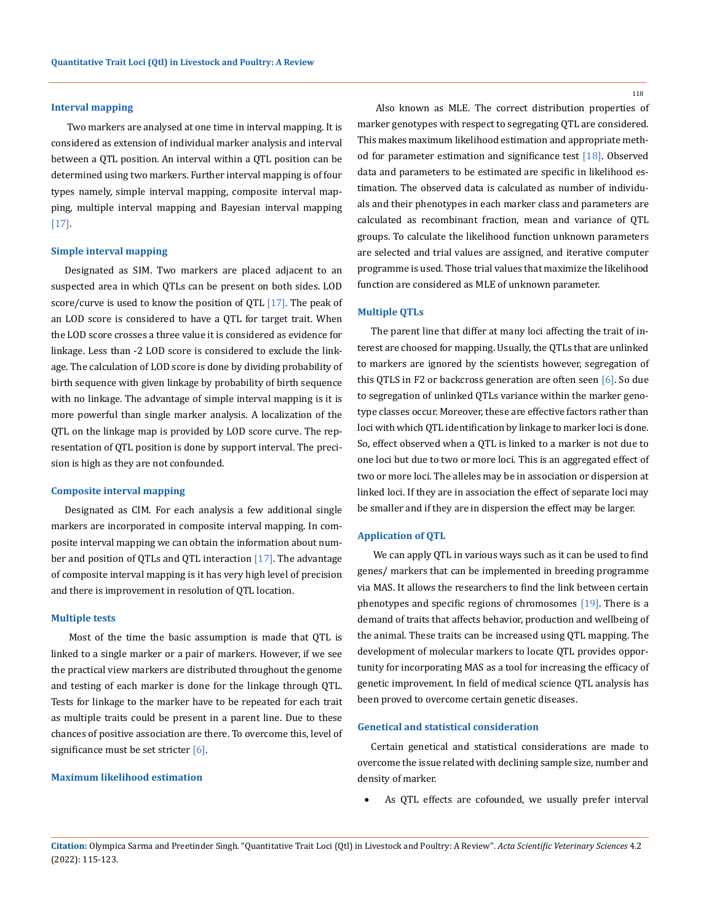# **Interval mapping**

 Two markers are analysed at one time in interval mapping. It is considered as extension of individual marker analysis and interval between a QTL position. An interval within a QTL position can be determined using two markers. Further interval mapping is of four types namely, simple interval mapping, composite interval mapping, multiple interval mapping and Bayesian interval mapping [17].

#### **Simple interval mapping**

Designated as SIM. Two markers are placed adjacent to an suspected area in which QTLs can be present on both sides. LOD score/curve is used to know the position of QTL  $[17]$ . The peak of an LOD score is considered to have a QTL for target trait. When the LOD score crosses a three value it is considered as evidence for linkage. Less than -2 LOD score is considered to exclude the linkage. The calculation of LOD score is done by dividing probability of birth sequence with given linkage by probability of birth sequence with no linkage. The advantage of simple interval mapping is it is more powerful than single marker analysis. A localization of the QTL on the linkage map is provided by LOD score curve. The representation of QTL position is done by support interval. The precision is high as they are not confounded.

#### **Composite interval mapping**

Designated as CIM. For each analysis a few additional single markers are incorporated in composite interval mapping. In composite interval mapping we can obtain the information about number and position of QTLs and QTL interaction [17]. The advantage of composite interval mapping is it has very high level of precision and there is improvement in resolution of QTL location.

# **Multiple tests**

 Most of the time the basic assumption is made that QTL is linked to a single marker or a pair of markers. However, if we see the practical view markers are distributed throughout the genome and testing of each marker is done for the linkage through QTL. Tests for linkage to the marker have to be repeated for each trait as multiple traits could be present in a parent line. Due to these chances of positive association are there. To overcome this, level of significance must be set stricter [6].

# **Maximum likelihood estimation**

118

 Also known as MLE. The correct distribution properties of marker genotypes with respect to segregating QTL are considered. This makes maximum likelihood estimation and appropriate method for parameter estimation and significance test [18]. Observed data and parameters to be estimated are specific in likelihood estimation. The observed data is calculated as number of individuals and their phenotypes in each marker class and parameters are calculated as recombinant fraction, mean and variance of QTL groups. To calculate the likelihood function unknown parameters are selected and trial values are assigned, and iterative computer programme is used. Those trial values that maximize the likelihood function are considered as MLE of unknown parameter.

#### **Multiple QTLs**

The parent line that differ at many loci affecting the trait of interest are choosed for mapping. Usually, the QTLs that are unlinked to markers are ignored by the scientists however, segregation of this QTLS in F2 or backcross generation are often seen [6]. So due to segregation of unlinked QTLs variance within the marker genotype classes occur. Moreover, these are effective factors rather than loci with which QTL identification by linkage to marker loci is done. So, effect observed when a QTL is linked to a marker is not due to one loci but due to two or more loci. This is an aggregated effect of two or more loci. The alleles may be in association or dispersion at linked loci. If they are in association the effect of separate loci may be smaller and if they are in dispersion the effect may be larger.

#### **Application of QTL**

 We can apply QTL in various ways such as it can be used to find genes/ markers that can be implemented in breeding programme via MAS. It allows the researchers to find the link between certain phenotypes and specific regions of chromosomes [19]. There is a demand of traits that affects behavior, production and wellbeing of the animal. These traits can be increased using QTL mapping. The development of molecular markers to locate QTL provides opportunity for incorporating MAS as a tool for increasing the efficacy of genetic improvement. In field of medical science QTL analysis has been proved to overcome certain genetic diseases.

# **Genetical and statistical consideration**

Certain genetical and statistical considerations are made to overcome the issue related with declining sample size, number and density of marker.

As QTL effects are cofounded, we usually prefer interval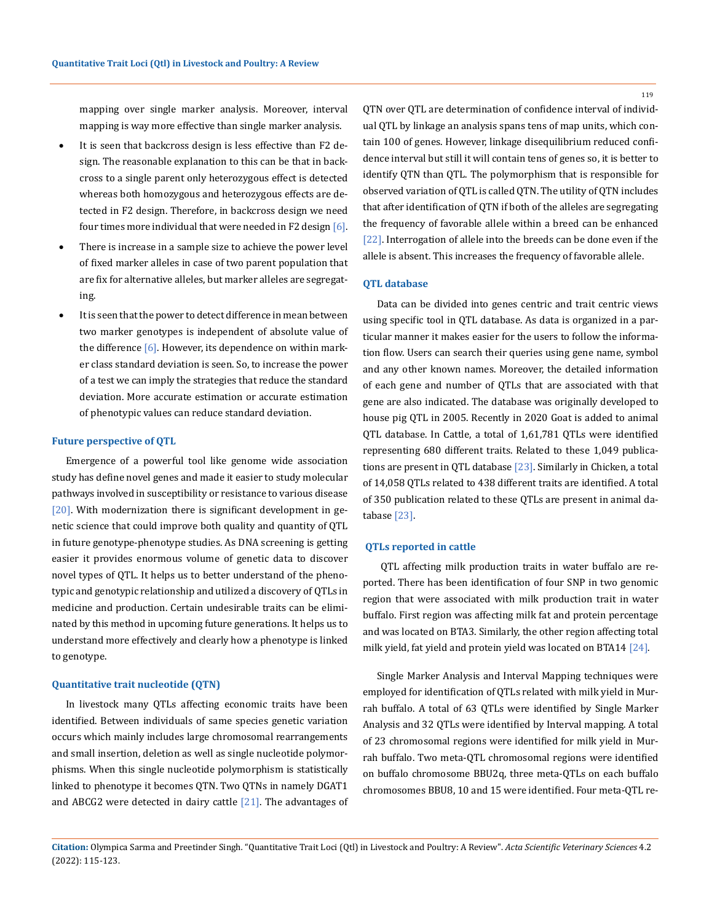mapping over single marker analysis. Moreover, interval mapping is way more effective than single marker analysis.

- It is seen that backcross design is less effective than F2 design. The reasonable explanation to this can be that in backcross to a single parent only heterozygous effect is detected whereas both homozygous and heterozygous effects are detected in F2 design. Therefore, in backcross design we need four times more individual that were needed in F2 design [6].
- There is increase in a sample size to achieve the power level of fixed marker alleles in case of two parent population that are fix for alternative alleles, but marker alleles are segregating.
- It is seen that the power to detect difference in mean between two marker genotypes is independent of absolute value of the difference  $[6]$ . However, its dependence on within marker class standard deviation is seen. So, to increase the power of a test we can imply the strategies that reduce the standard deviation. More accurate estimation or accurate estimation of phenotypic values can reduce standard deviation.

#### **Future perspective of QTL**

Emergence of a powerful tool like genome wide association study has define novel genes and made it easier to study molecular pathways involved in susceptibility or resistance to various disease [20]. With modernization there is significant development in genetic science that could improve both quality and quantity of QTL in future genotype-phenotype studies. As DNA screening is getting easier it provides enormous volume of genetic data to discover novel types of QTL. It helps us to better understand of the phenotypic and genotypic relationship and utilized a discovery of QTLs in medicine and production. Certain undesirable traits can be eliminated by this method in upcoming future generations. It helps us to understand more effectively and clearly how a phenotype is linked to genotype.

#### **Quantitative trait nucleotide (QTN)**

In livestock many QTLs affecting economic traits have been identified. Between individuals of same species genetic variation occurs which mainly includes large chromosomal rearrangements and small insertion, deletion as well as single nucleotide polymorphisms. When this single nucleotide polymorphism is statistically linked to phenotype it becomes QTN. Two QTNs in namely DGAT1 and ABCG2 were detected in dairy cattle  $[21]$ . The advantages of QTN over QTL are determination of confidence interval of individual QTL by linkage an analysis spans tens of map units, which contain 100 of genes. However, linkage disequilibrium reduced confidence interval but still it will contain tens of genes so, it is better to identify QTN than QTL. The polymorphism that is responsible for observed variation of QTL is called QTN. The utility of QTN includes that after identification of QTN if both of the alleles are segregating the frequency of favorable allele within a breed can be enhanced [22]. Interrogation of allele into the breeds can be done even if the allele is absent. This increases the frequency of favorable allele.

### **QTL database**

Data can be divided into genes centric and trait centric views using specific tool in QTL database. As data is organized in a particular manner it makes easier for the users to follow the information flow. Users can search their queries using gene name, symbol and any other known names. Moreover, the detailed information of each gene and number of QTLs that are associated with that gene are also indicated. The database was originally developed to house pig QTL in 2005. Recently in 2020 Goat is added to animal QTL database. In Cattle, a total of 1,61,781 QTLs were identified representing 680 different traits. Related to these 1,049 publications are present in QTL database [23]. Similarly in Chicken, a total of 14,058 QTLs related to 438 different traits are identified. A total of 350 publication related to these QTLs are present in animal database [23].

#### **QTLs reported in cattle**

 QTL affecting milk production traits in water buffalo are reported. There has been identification of four SNP in two genomic region that were associated with milk production trait in water buffalo. First region was affecting milk fat and protein percentage and was located on BTA3. Similarly, the other region affecting total milk yield, fat yield and protein yield was located on BTA14 [24].

Single Marker Analysis and Interval Mapping techniques were employed for identification of QTLs related with milk yield in Murrah buffalo. A total of 63 QTLs were identified by Single Marker Analysis and 32 QTLs were identified by Interval mapping. A total of 23 chromosomal regions were identified for milk yield in Murrah buffalo. Two meta-QTL chromosomal regions were identified on buffalo chromosome BBU2q, three meta-QTLs on each buffalo chromosomes BBU8, 10 and 15 were identified. Four meta-QTL re-

119

**Citation:** Olympica Sarma and Preetinder Singh*.* "Quantitative Trait Loci (Qtl) in Livestock and Poultry: A Review". *Acta Scientific Veterinary Sciences* 4.2 (2022): 115-123.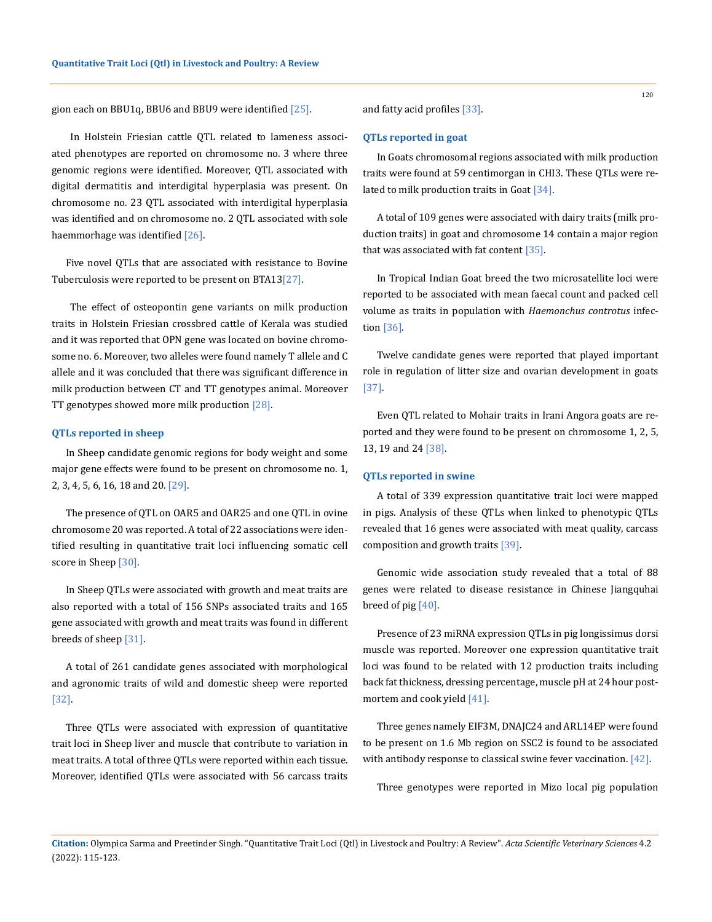gion each on BBU1q, BBU6 and BBU9 were identified [25].

 In Holstein Friesian cattle QTL related to lameness associated phenotypes are reported on chromosome no. 3 where three genomic regions were identified. Moreover, QTL associated with digital dermatitis and interdigital hyperplasia was present. On chromosome no. 23 QTL associated with interdigital hyperplasia was identified and on chromosome no. 2 QTL associated with sole haemmorhage was identified [26].

Five novel QTLs that are associated with resistance to Bovine Tuberculosis were reported to be present on BTA13[27].

 The effect of osteopontin gene variants on milk production traits in Holstein Friesian crossbred cattle of Kerala was studied and it was reported that OPN gene was located on bovine chromosome no. 6. Moreover, two alleles were found namely T allele and C allele and it was concluded that there was significant difference in milk production between CT and TT genotypes animal. Moreover TT genotypes showed more milk production [28].

#### **QTLs reported in sheep**

In Sheep candidate genomic regions for body weight and some major gene effects were found to be present on chromosome no. 1, 2, 3, 4, 5, 6, 16, 18 and 20. [29].

The presence of QTL on OAR5 and OAR25 and one QTL in ovine chromosome 20 was reported. A total of 22 associations were identified resulting in quantitative trait loci influencing somatic cell score in Sheep [30].

In Sheep QTLs were associated with growth and meat traits are also reported with a total of 156 SNPs associated traits and 165 gene associated with growth and meat traits was found in different breeds of sheep [31].

A total of 261 candidate genes associated with morphological and agronomic traits of wild and domestic sheep were reported [32].

Three QTLs were associated with expression of quantitative trait loci in Sheep liver and muscle that contribute to variation in meat traits. A total of three QTLs were reported within each tissue. Moreover, identified QTLs were associated with 56 carcass traits and fatty acid profiles [33].

#### **QTLs reported in goat**

In Goats chromosomal regions associated with milk production traits were found at 59 centimorgan in CHI3. These QTLs were related to milk production traits in Goat [34].

A total of 109 genes were associated with dairy traits (milk production traits) in goat and chromosome 14 contain a major region that was associated with fat content [35].

In Tropical Indian Goat breed the two microsatellite loci were reported to be associated with mean faecal count and packed cell volume as traits in population with *Haemonchus controtus* infection [36].

Twelve candidate genes were reported that played important role in regulation of litter size and ovarian development in goats [37].

Even QTL related to Mohair traits in Irani Angora goats are reported and they were found to be present on chromosome 1, 2, 5, 13, 19 and 24 [38].

#### **QTLs reported in swine**

A total of 339 expression quantitative trait loci were mapped in pigs. Analysis of these QTLs when linked to phenotypic QTLs revealed that 16 genes were associated with meat quality, carcass composition and growth traits [39].

Genomic wide association study revealed that a total of 88 genes were related to disease resistance in Chinese Jiangquhai breed of pig [40].

Presence of 23 miRNA expression QTLs in pig longissimus dorsi muscle was reported. Moreover one expression quantitative trait loci was found to be related with 12 production traits including back fat thickness, dressing percentage, muscle pH at 24 hour postmortem and cook yield [41].

Three genes namely EIF3M, DNAJC24 and ARL14EP were found to be present on 1.6 Mb region on SSC2 is found to be associated with antibody response to classical swine fever vaccination. [42].

Three genotypes were reported in Mizo local pig population

120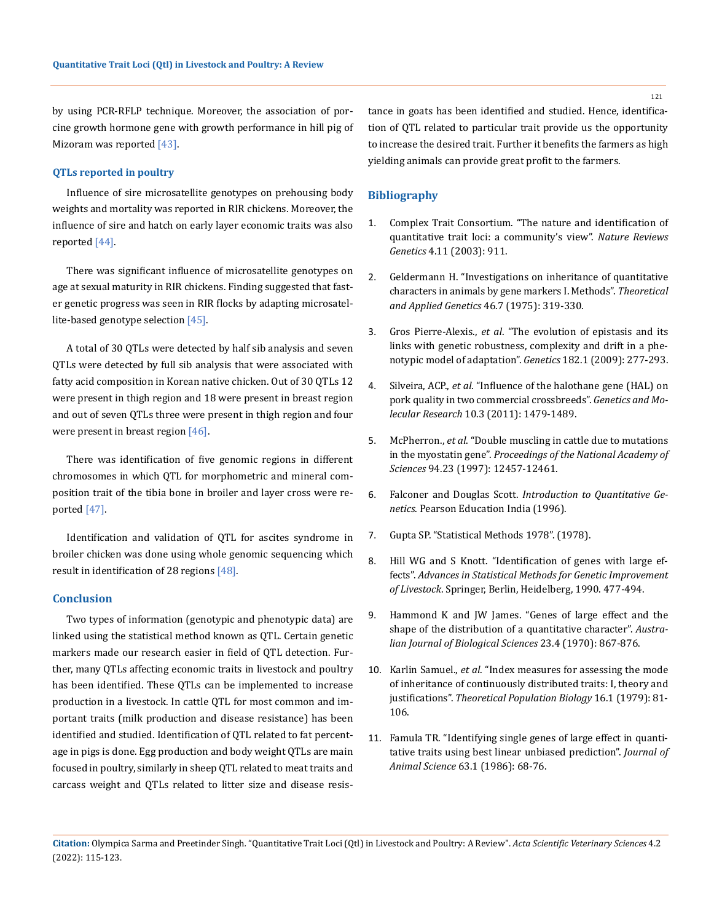by using PCR-RFLP technique. Moreover, the association of porcine growth hormone gene with growth performance in hill pig of Mizoram was reported [43].

# **QTLs reported in poultry**

Influence of sire microsatellite genotypes on prehousing body weights and mortality was reported in RIR chickens. Moreover, the influence of sire and hatch on early layer economic traits was also reported [44].

There was significant influence of microsatellite genotypes on age at sexual maturity in RIR chickens. Finding suggested that faster genetic progress was seen in RIR flocks by adapting microsatellite-based genotype selection [45].

A total of 30 QTLs were detected by half sib analysis and seven QTLs were detected by full sib analysis that were associated with fatty acid composition in Korean native chicken. Out of 30 QTLs 12 were present in thigh region and 18 were present in breast region and out of seven QTLs three were present in thigh region and four were present in breast region [46].

There was identification of five genomic regions in different chromosomes in which QTL for morphometric and mineral composition trait of the tibia bone in broiler and layer cross were reported [47].

Identification and validation of QTL for ascites syndrome in broiler chicken was done using whole genomic sequencing which result in identification of 28 regions [48].

# **Conclusion**

Two types of information (genotypic and phenotypic data) are linked using the statistical method known as QTL. Certain genetic markers made our research easier in field of QTL detection. Further, many QTLs affecting economic traits in livestock and poultry has been identified. These QTLs can be implemented to increase production in a livestock. In cattle QTL for most common and important traits (milk production and disease resistance) has been identified and studied. Identification of QTL related to fat percentage in pigs is done. Egg production and body weight QTLs are main focused in poultry, similarly in sheep QTL related to meat traits and carcass weight and QTLs related to litter size and disease resistance in goats has been identified and studied. Hence, identification of QTL related to particular trait provide us the opportunity to increase the desired trait. Further it benefits the farmers as high yielding animals can provide great profit to the farmers.

# **Bibliography**

- 1. [Complex Trait Consortium. "The nature and identification of](https://pubmed.ncbi.nlm.nih.gov/14634638/)  [quantitative trait loci: a community's view".](https://pubmed.ncbi.nlm.nih.gov/14634638/) *Nature Reviews Genetics* [4.11 \(2003\): 911.](https://pubmed.ncbi.nlm.nih.gov/14634638/)
- 2. [Geldermann H. "Investigations on inheritance of quantitative](https://link.springer.com/article/10.1007/BF00281673)  [characters in animals by gene markers I. Methods".](https://link.springer.com/article/10.1007/BF00281673) *Theoretical [and Applied Genetics](https://link.springer.com/article/10.1007/BF00281673)* 46.7 (1975): 319-330.
- 3. Gros Pierre-Alexis., *et al*[. "The evolution of epistasis and its](https://pubmed.ncbi.nlm.nih.gov/19279327/)  [links with genetic robustness, complexity and drift in a phe](https://pubmed.ncbi.nlm.nih.gov/19279327/)[notypic model of adaptation".](https://pubmed.ncbi.nlm.nih.gov/19279327/) *Genetics* 182.1 (2009): 277-293.
- 4. Silveira, ACP., *et al*[. "Influence of the halothane gene \(HAL\) on](https://pubmed.ncbi.nlm.nih.gov/21823098/)  [pork quality in two commercial crossbreeds".](https://pubmed.ncbi.nlm.nih.gov/21823098/) *Genetics and Molecular Research* [10.3 \(2011\): 1479-1489.](https://pubmed.ncbi.nlm.nih.gov/21823098/)
- 5. McPherron., *et al*[. "Double muscling in cattle due to mutations](https://www.pnas.org/content/94/23/12457.short)  in the myostatin gene". *[Proceedings of the National Academy of](https://www.pnas.org/content/94/23/12457.short)  Sciences* [94.23 \(1997\): 12457-12461.](https://www.pnas.org/content/94/23/12457.short)
- 6. Falconer and Douglas Scott. *Introduction to Quantitative Genetics*. Pearson Education India (1996).
- 7. Gupta SP. "Statistical Methods 1978". (1978).
- 8. Hill WG and S Knott. "Identification of genes with large effects". *Advances in Statistical Methods for Genetic Improvement of Livestock*. Springer, Berlin, Heidelberg, 1990. 477-494.
- 9. [Hammond K and JW James. "Genes of large effect and the](https://pubmed.ncbi.nlm.nih.gov/5477714/)  [shape of the distribution of a quantitative character".](https://pubmed.ncbi.nlm.nih.gov/5477714/) *Austra[lian Journal of Biological Sciences](https://pubmed.ncbi.nlm.nih.gov/5477714/)* 23.4 (1970): 867-876.
- 10. Karlin Samuel., *et al*[. "Index measures for assessing the mode](https://pubmed.ncbi.nlm.nih.gov/531766/)  [of inheritance of continuously distributed traits: I, theory and](https://pubmed.ncbi.nlm.nih.gov/531766/)  justifications". *[Theoretical Population Biology](https://pubmed.ncbi.nlm.nih.gov/531766/)* 16.1 (1979): 81- [106.](https://pubmed.ncbi.nlm.nih.gov/531766/)
- 11. [Famula TR. "Identifying single genes of large effect in quanti](https://pubmed.ncbi.nlm.nih.gov/3733579/)[tative traits using best linear unbiased prediction".](https://pubmed.ncbi.nlm.nih.gov/3733579/) *Journal of Animal Science* [63.1 \(1986\): 68-76.](https://pubmed.ncbi.nlm.nih.gov/3733579/)

**Citation:** Olympica Sarma and Preetinder Singh*.* "Quantitative Trait Loci (Qtl) in Livestock and Poultry: A Review". *Acta Scientific Veterinary Sciences* 4.2 (2022): 115-123.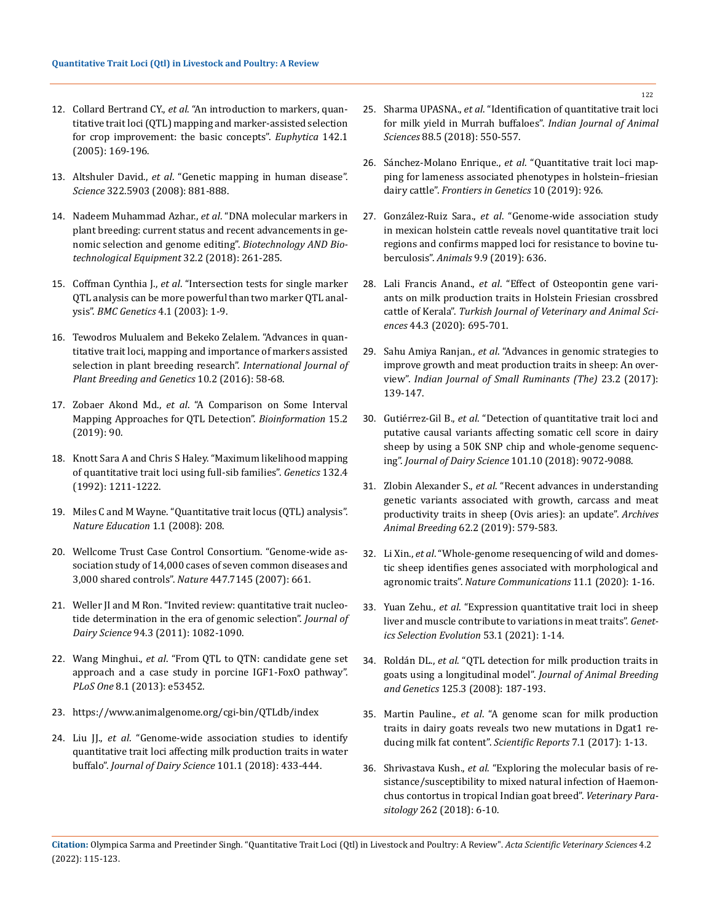- 12. Collard Bertrand CY., *et al*[. "An introduction to markers, quan](https://link.springer.com/article/10.1007/s10681-005-1681-5)[titative trait loci \(QTL\) mapping and marker-assisted selection](https://link.springer.com/article/10.1007/s10681-005-1681-5)  [for crop improvement: the basic concepts".](https://link.springer.com/article/10.1007/s10681-005-1681-5) *Euphytica* 142.1 [\(2005\): 169-196.](https://link.springer.com/article/10.1007/s10681-005-1681-5)
- 13. Altshuler David., *et al*[. "Genetic mapping in human disease".](https://www.ncbi.nlm.nih.gov/pmc/articles/PMC2694957/)  *Science* [322.5903 \(2008\): 881-888.](https://www.ncbi.nlm.nih.gov/pmc/articles/PMC2694957/)
- 14. Nadeem Muhammad Azhar., *et al*[. "DNA molecular markers in](https://www.tandfonline.com/doi/full/10.1080/13102818.2017.1400401)  [plant breeding: current status and recent advancements in ge](https://www.tandfonline.com/doi/full/10.1080/13102818.2017.1400401)[nomic selection and genome editing".](https://www.tandfonline.com/doi/full/10.1080/13102818.2017.1400401) *Biotechnology AND Bio[technological Equipment](https://www.tandfonline.com/doi/full/10.1080/13102818.2017.1400401)* 32.2 (2018): 261-285.
- 15. Coffman Cynthia J., *et al*[. "Intersection tests for single marker](https://www.ncbi.nlm.nih.gov/pmc/articles/PMC166174/)  [QTL analysis can be more powerful than two marker QTL anal](https://www.ncbi.nlm.nih.gov/pmc/articles/PMC166174/)ysis". *[BMC Genetics](https://www.ncbi.nlm.nih.gov/pmc/articles/PMC166174/)* 4.1 (2003): 1-9.
- 16. [Tewodros Mulualem and Bekeko Zelalem. "Advances in quan](https://scialert.net/abstract/?doi=ijpbg.2016.58.68)[titative trait loci, mapping and importance of markers assisted](https://scialert.net/abstract/?doi=ijpbg.2016.58.68)  [selection in plant breeding research".](https://scialert.net/abstract/?doi=ijpbg.2016.58.68) *International Journal of [Plant Breeding and Genetics](https://scialert.net/abstract/?doi=ijpbg.2016.58.68)* 10.2 (2016): 58-68.
- 17. Zobaer Akond Md., *et al*[. "A Comparison on Some Interval](https://pubmed.ncbi.nlm.nih.gov/31435154/)  [Mapping Approaches for QTL Detection".](https://pubmed.ncbi.nlm.nih.gov/31435154/) *Bioinformation* 15.2 [\(2019\): 90.](https://pubmed.ncbi.nlm.nih.gov/31435154/)
- 18. [Knott Sara A and Chris S Haley. "Maximum likelihood mapping](https://pubmed.ncbi.nlm.nih.gov/1459438/)  [of quantitative trait loci using full-sib families".](https://pubmed.ncbi.nlm.nih.gov/1459438/) *Genetics* 132.4 [\(1992\): 1211-1222.](https://pubmed.ncbi.nlm.nih.gov/1459438/)
- 19. [Miles C and M Wayne. "Quantitative trait locus \(QTL\) analysis".](https://www.nature.com/scitable/topicpage/quantitative-trait-locus-qtl-analysis-53904/)  *[Nature Education](https://www.nature.com/scitable/topicpage/quantitative-trait-locus-qtl-analysis-53904/)* 1.1 (2008): 208.
- 20. [Wellcome Trust Case Control Consortium. "Genome-wide as](https://www.nature.com/articles/nature05911)[sociation study of 14,000 cases of seven common diseases and](https://www.nature.com/articles/nature05911)  [3,000 shared controls".](https://www.nature.com/articles/nature05911) *Nature* 447.7145 (2007): 661.
- 21. [Weller JI and M Ron. "Invited review: quantitative trait nucleo](https://pubmed.ncbi.nlm.nih.gov/21338774/)[tide determination in the era of genomic selection".](https://pubmed.ncbi.nlm.nih.gov/21338774/) *Journal of Dairy Science* [94.3 \(2011\): 1082-1090.](https://pubmed.ncbi.nlm.nih.gov/21338774/)
- 22. Wang Minghui., *et al*[. "From QTL to QTN: candidate gene set](https://pubmed.ncbi.nlm.nih.gov/23341942/)  [approach and a case study in porcine IGF1-FoxO pathway".](https://pubmed.ncbi.nlm.nih.gov/23341942/)  *PLoS One* [8.1 \(2013\): e53452.](https://pubmed.ncbi.nlm.nih.gov/23341942/)
- 23. <https://www.animalgenome.org/cgi-bin/QTLdb/index>
- 24. Liu JJ., *et al*[. "Genome-wide association studies to identify](https://pubmed.ncbi.nlm.nih.gov/29128211/)  [quantitative trait loci affecting milk production traits in water](https://pubmed.ncbi.nlm.nih.gov/29128211/)  buffalo". *[Journal of Dairy Science](https://pubmed.ncbi.nlm.nih.gov/29128211/)* 101.1 (2018): 433-444.
- 25. Sharma UPASNA., *et al*[. "Identification of quantitative trait loci](https://www.researchgate.net/publication/325358813_Identification_of_quantitative_trait_loci_for_milk_yield_in_Murrah_buffaloes)  [for milk yield in Murrah buffaloes".](https://www.researchgate.net/publication/325358813_Identification_of_quantitative_trait_loci_for_milk_yield_in_Murrah_buffaloes) *Indian Journal of Animal Sciences* [88.5 \(2018\): 550-557.](https://www.researchgate.net/publication/325358813_Identification_of_quantitative_trait_loci_for_milk_yield_in_Murrah_buffaloes)
- 26. Sánchez-Molano Enrique., *et al*[. "Quantitative trait loci map](https://pubmed.ncbi.nlm.nih.gov/31636655/)[ping for lameness associated phenotypes in holstein–friesian](https://pubmed.ncbi.nlm.nih.gov/31636655/)  dairy cattle". *[Frontiers in Genetics](https://pubmed.ncbi.nlm.nih.gov/31636655/)* 10 (2019): 926.
- 27. González-Ruiz Sara., *et al*[. "Genome-wide association study](https://pubmed.ncbi.nlm.nih.gov/31480266/)  [in mexican holstein cattle reveals novel quantitative trait loci](https://pubmed.ncbi.nlm.nih.gov/31480266/)  [regions and confirms mapped loci for resistance to bovine tu](https://pubmed.ncbi.nlm.nih.gov/31480266/)berculosis". *Animals* [9.9 \(2019\): 636.](https://pubmed.ncbi.nlm.nih.gov/31480266/)
- 28. Lali Francis Anand., *et al*[. "Effect of Osteopontin gene vari](https://journals.tubitak.gov.tr/veterinary/issues/vet-20-44-3/vet-44-3-28-1812-4.pdf)[ants on milk production traits in Holstein Friesian crossbred](https://journals.tubitak.gov.tr/veterinary/issues/vet-20-44-3/vet-44-3-28-1812-4.pdf)  cattle of Kerala". *[Turkish Journal of Veterinary and Animal Sci](https://journals.tubitak.gov.tr/veterinary/issues/vet-20-44-3/vet-44-3-28-1812-4.pdf)ences* [44.3 \(2020\): 695-701.](https://journals.tubitak.gov.tr/veterinary/issues/vet-20-44-3/vet-44-3-28-1812-4.pdf)
- 29. Sahu Amiya Ranjan., *et al*[. "Advances in genomic strategies to](https://www.researchgate.net/publication/320283803_Advances_in_genomic_strategies_to_improve_growth_and_meat_production_traits_in_sheep_An_overview)  [improve growth and meat production traits in sheep: An over](https://www.researchgate.net/publication/320283803_Advances_in_genomic_strategies_to_improve_growth_and_meat_production_traits_in_sheep_An_overview)view". *[Indian Journal of Small Ruminants \(The\)](https://www.researchgate.net/publication/320283803_Advances_in_genomic_strategies_to_improve_growth_and_meat_production_traits_in_sheep_An_overview)* 23.2 (2017): [139-147.](https://www.researchgate.net/publication/320283803_Advances_in_genomic_strategies_to_improve_growth_and_meat_production_traits_in_sheep_An_overview)
- 30. Gutiérrez-Gil B., *et al*[. "Detection of quantitative trait loci and](https://pubmed.ncbi.nlm.nih.gov/30100503/)  [putative causal variants affecting somatic cell score in dairy](https://pubmed.ncbi.nlm.nih.gov/30100503/)  [sheep by using a 50K SNP chip and whole-genome sequenc](https://pubmed.ncbi.nlm.nih.gov/30100503/)ing". *[Journal of Dairy Science](https://pubmed.ncbi.nlm.nih.gov/30100503/)* 101.10 (2018): 9072-9088.
- 31. Zlobin Alexander S., *et al*[. "Recent advances in understanding](https://www.ncbi.nlm.nih.gov/pmc/articles/PMC6904904/)  [genetic variants associated with growth, carcass and meat](https://www.ncbi.nlm.nih.gov/pmc/articles/PMC6904904/)  [productivity traits in sheep \(Ovis aries\): an update".](https://www.ncbi.nlm.nih.gov/pmc/articles/PMC6904904/) *Archives Animal Breeding* [62.2 \(2019\): 579-583.](https://www.ncbi.nlm.nih.gov/pmc/articles/PMC6904904/)
- 32. Li Xin., *et al*[. "Whole-genome resequencing of wild and domes](https://www.nature.com/articles/s41467-020-16485-1)[tic sheep identifies genes associated with morphological and](https://www.nature.com/articles/s41467-020-16485-1)  agronomic traits". *[Nature Communications](https://www.nature.com/articles/s41467-020-16485-1)* 11.1 (2020): 1-16.
- 33. Yuan Zehu., *et al*[. "Expression quantitative trait loci in sheep](https://www.researchgate.net/publication/348577932_Expression_quantitative_trait_loci_in_sheep_liver_and_muscle_contribute_to_variations_in_meat_traits)  [liver and muscle contribute to variations in meat traits".](https://www.researchgate.net/publication/348577932_Expression_quantitative_trait_loci_in_sheep_liver_and_muscle_contribute_to_variations_in_meat_traits) *Genet[ics Selection Evolution](https://www.researchgate.net/publication/348577932_Expression_quantitative_trait_loci_in_sheep_liver_and_muscle_contribute_to_variations_in_meat_traits)* 53.1 (2021): 1-14.
- 34. Roldán DL., *et al*[. "QTL detection for milk production traits in](https://pubmed.ncbi.nlm.nih.gov/18479269/)  [goats using a longitudinal model".](https://pubmed.ncbi.nlm.nih.gov/18479269/) *Journal of Animal Breeding and Genetics* [125.3 \(2008\): 187-193.](https://pubmed.ncbi.nlm.nih.gov/18479269/)
- 35. Martin Pauline., *et al*[. "A genome scan for milk production](https://pubmed.ncbi.nlm.nih.gov/29497092/)  [traits in dairy goats reveals two new mutations in Dgat1 re](https://pubmed.ncbi.nlm.nih.gov/29497092/)[ducing milk fat content".](https://pubmed.ncbi.nlm.nih.gov/29497092/) *Scientific Reports* 7.1 (2017): 1-13.
- 36. Shrivastava Kush., *et al*[. "Exploring the molecular basis of re](https://pubmed.ncbi.nlm.nih.gov/30389014/)[sistance/susceptibility to mixed natural infection of Haemon](https://pubmed.ncbi.nlm.nih.gov/30389014/)[chus contortus in tropical Indian goat breed".](https://pubmed.ncbi.nlm.nih.gov/30389014/) *Veterinary Parasitology* [262 \(2018\): 6-10.](https://pubmed.ncbi.nlm.nih.gov/30389014/)

**Citation:** Olympica Sarma and Preetinder Singh*.* "Quantitative Trait Loci (Qtl) in Livestock and Poultry: A Review". *Acta Scientific Veterinary Sciences* 4.2 (2022): 115-123.